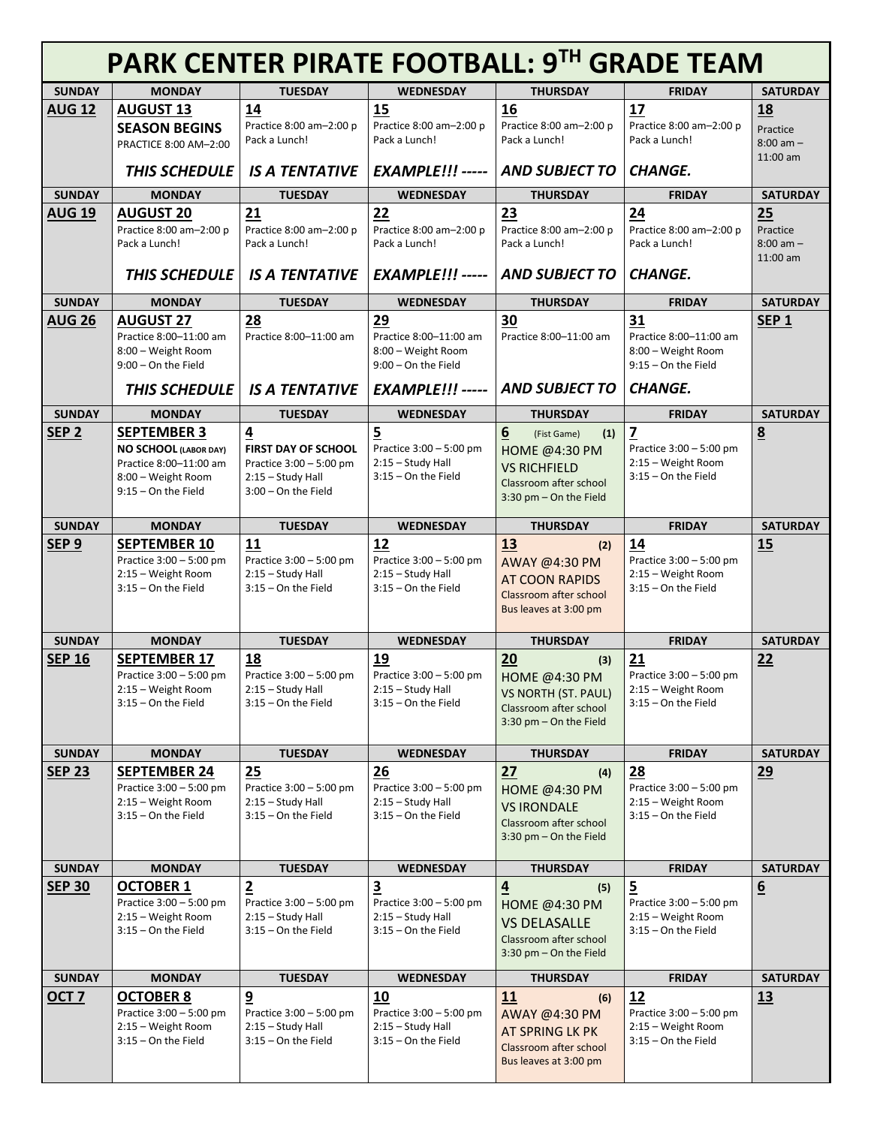| PARK CENTER PIRATE FOOTBALL: 9TH GRADE TEAM |                                                        |                                                       |                                              |                                                      |                                               |                           |
|---------------------------------------------|--------------------------------------------------------|-------------------------------------------------------|----------------------------------------------|------------------------------------------------------|-----------------------------------------------|---------------------------|
| <b>SUNDAY</b>                               | <b>MONDAY</b>                                          | <b>TUESDAY</b>                                        | <b>WEDNESDAY</b>                             | <b>THURSDAY</b>                                      | <b>FRIDAY</b>                                 | <b>SATURDAY</b>           |
| <b>AUG 12</b>                               | <b>AUGUST 13</b>                                       | 14                                                    | 15                                           | 16                                                   | 17                                            | <u>18</u>                 |
|                                             | <b>SEASON BEGINS</b>                                   | Practice 8:00 am-2:00 p<br>Pack a Lunch!              | Practice 8:00 am-2:00 p                      | Practice 8:00 am-2:00 p                              | Practice 8:00 am-2:00 p                       | Practice                  |
|                                             | PRACTICE 8:00 AM-2:00                                  |                                                       | Pack a Lunch!                                | Pack a Lunch!                                        | Pack a Lunch!                                 | $8:00$ am $-$<br>11:00 am |
|                                             | THIS SCHEDULE                                          | <b>IS A TENTATIVE</b>                                 | <b>EXAMPLE!!! -----</b>                      | <b>AND SUBJECT TO</b>                                | <b>CHANGE.</b>                                |                           |
| <b>SUNDAY</b>                               | <b>MONDAY</b>                                          | <b>TUESDAY</b>                                        | <b>WEDNESDAY</b>                             | <b>THURSDAY</b>                                      | <b>FRIDAY</b>                                 | <b>SATURDAY</b>           |
| <b>AUG 19</b>                               | <b>AUGUST 20</b>                                       | 21                                                    | 22                                           | 23                                                   | 24                                            | 25                        |
|                                             | Practice 8:00 am-2:00 p<br>Pack a Lunch!               | Practice 8:00 am-2:00 p<br>Pack a Lunch!              | Practice 8:00 am-2:00 p<br>Pack a Lunch!     | Practice 8:00 am-2:00 p<br>Pack a Lunch!             | Practice 8:00 am-2:00 p<br>Pack a Lunch!      | Practice<br>$8:00$ am $-$ |
|                                             |                                                        |                                                       |                                              |                                                      |                                               | 11:00 am                  |
|                                             | THIS SCHEDULE                                          | <b>IS A TENTATIVE</b>                                 | <b>EXAMPLE!!! -----</b>                      | <b>AND SUBJECT TO</b>                                | <b>CHANGE.</b>                                |                           |
| <b>SUNDAY</b>                               | <b>MONDAY</b>                                          | <b>TUESDAY</b>                                        | <b>WEDNESDAY</b>                             | <b>THURSDAY</b>                                      | <b>FRIDAY</b>                                 | <b>SATURDAY</b>           |
| <b>AUG 26</b>                               | <b>AUGUST 27</b>                                       | 28                                                    | 29                                           | 30                                                   | 31                                            | SEP <sub>1</sub>          |
|                                             | Practice 8:00-11:00 am                                 | Practice 8:00-11:00 am                                | Practice 8:00-11:00 am                       | Practice 8:00-11:00 am                               | Practice 8:00-11:00 am                        |                           |
|                                             | 8:00 - Weight Room<br>$9:00 -$ On the Field            |                                                       | 8:00 - Weight Room<br>9:00 - On the Field    |                                                      | 8:00 - Weight Room<br>$9:15 -$ On the Field   |                           |
|                                             |                                                        |                                                       |                                              |                                                      |                                               |                           |
|                                             | <b>THIS SCHEDULE</b>                                   | <b>IS A TENTATIVE</b>                                 | <b>EXAMPLE!!! -----</b>                      | <b>AND SUBJECT TO</b>                                | <b>CHANGE.</b>                                |                           |
| <b>SUNDAY</b>                               | <b>MONDAY</b>                                          | <b>TUESDAY</b>                                        | <b>WEDNESDAY</b>                             | <b>THURSDAY</b>                                      | <b>FRIDAY</b>                                 | <b>SATURDAY</b>           |
| SEP <sub>2</sub>                            | <b>SEPTEMBER 3</b>                                     | 4                                                     | 5                                            | 6<br>(1)<br>(Fist Game)                              | $\overline{z}$                                | 8                         |
|                                             | <b>NO SCHOOL (LABOR DAY)</b><br>Practice 8:00-11:00 am | <b>FIRST DAY OF SCHOOL</b><br>Practice 3:00 - 5:00 pm | Practice 3:00 - 5:00 pm<br>2:15 - Study Hall | <b>HOME @4:30 PM</b><br><b>VS RICHFIELD</b>          | Practice 3:00 - 5:00 pm<br>2:15 - Weight Room |                           |
|                                             | 8:00 - Weight Room                                     | 2:15 - Study Hall                                     | $3:15 -$ On the Field                        | Classroom after school                               | $3:15 -$ On the Field                         |                           |
|                                             | $9:15 -$ On the Field                                  | 3:00 - On the Field                                   |                                              | 3:30 pm - On the Field                               |                                               |                           |
| <b>SUNDAY</b>                               | <b>MONDAY</b>                                          | <b>TUESDAY</b>                                        | <b>WEDNESDAY</b>                             | <b>THURSDAY</b>                                      | <b>FRIDAY</b>                                 | <b>SATURDAY</b>           |
| SEP <sub>9</sub>                            | <b>SEPTEMBER 10</b>                                    | 11                                                    | 12                                           | 13<br>(2)                                            | 14                                            | 15                        |
|                                             | Practice 3:00 - 5:00 pm                                | Practice 3:00 - 5:00 pm                               | Practice 3:00 - 5:00 pm                      | AWAY @4:30 PM                                        | Practice 3:00 - 5:00 pm                       |                           |
|                                             | 2:15 - Weight Room                                     | 2:15 - Study Hall                                     | 2:15 - Study Hall                            |                                                      | 2:15 - Weight Room                            |                           |
|                                             |                                                        |                                                       |                                              | AT COON RAPIDS                                       |                                               |                           |
|                                             | $3:15 -$ On the Field                                  | $3:15 -$ On the Field                                 | $3:15 -$ On the Field                        | Classroom after school                               | $3:15 -$ On the Field                         |                           |
|                                             |                                                        |                                                       |                                              | Bus leaves at 3:00 pm                                |                                               |                           |
| <b>SUNDAY</b>                               | <b>MONDAY</b>                                          | <b>TUESDAY</b>                                        | <b>WEDNESDAY</b>                             | <b>THURSDAY</b>                                      | <b>FRIDAY</b>                                 | <b>SATURDAY</b>           |
| <b>SEP 16</b>                               | <b>SEPTEMBER 17</b>                                    | 18                                                    | 19                                           | 20<br>(3)                                            | 21                                            | 22                        |
|                                             | Practice $3:00 - 5:00$ pm                              | Practice 3:00 - 5:00 pm                               | Practice 3:00 - 5:00 pm                      | HOME @4:30 PM                                        | Practice 3:00 - 5:00 pm                       |                           |
|                                             | 2:15 - Weight Room                                     | 2:15 - Study Hall                                     | 2:15 - Study Hall                            | <b>VS NORTH (ST. PAUL)</b>                           | 2:15 - Weight Room                            |                           |
|                                             | $3:15 -$ On the Field                                  | 3:15 - On the Field                                   | $3:15 -$ On the Field                        | Classroom after school                               | $3:15 -$ On the Field                         |                           |
|                                             |                                                        |                                                       |                                              | $3:30$ pm $-$ On the Field                           |                                               |                           |
| <b>SUNDAY</b>                               | <b>MONDAY</b>                                          | <b>TUESDAY</b>                                        | <b>WEDNESDAY</b>                             | <b>THURSDAY</b>                                      | <b>FRIDAY</b>                                 | <b>SATURDAY</b>           |
| <b>SEP 23</b>                               | <b>SEPTEMBER 24</b>                                    | 25                                                    | 26                                           | 27<br>(4)                                            | 28                                            | <u>29</u>                 |
|                                             | Practice $3:00 - 5:00$ pm                              | Practice 3:00 - 5:00 pm                               | Practice 3:00 - 5:00 pm                      | HOME @4:30 PM                                        | Practice 3:00 - 5:00 pm                       |                           |
|                                             | 2:15 - Weight Room<br>$3:15 -$ On the Field            | 2:15 - Study Hall<br>3:15 - On the Field              | 2:15 - Study Hall<br>$3:15 -$ On the Field   | <b>VS IRONDALE</b>                                   | 2:15 - Weight Room<br>$3:15 -$ On the Field   |                           |
|                                             |                                                        |                                                       |                                              | Classroom after school<br>$3:30$ pm $-$ On the Field |                                               |                           |
|                                             |                                                        |                                                       |                                              |                                                      |                                               |                           |
| <b>SUNDAY</b>                               | <b>MONDAY</b>                                          | <b>TUESDAY</b>                                        | <b>WEDNESDAY</b>                             | <b>THURSDAY</b>                                      | <b>FRIDAY</b>                                 | <b>SATURDAY</b>           |
| <b>SEP 30</b>                               | <b>OCTOBER 1</b>                                       | $\overline{2}$                                        | $\overline{\mathbf{3}}$                      | $\overline{4}$<br>(5)                                | $\overline{5}$                                | $\underline{6}$           |
|                                             | Practice 3:00 - 5:00 pm<br>2:15 - Weight Room          | Practice 3:00 - 5:00 pm<br>2:15 - Study Hall          | Practice 3:00 - 5:00 pm<br>2:15 - Study Hall | HOME @4:30 PM                                        | Practice 3:00 - 5:00 pm<br>2:15 - Weight Room |                           |
|                                             | $3:15 -$ On the Field                                  | $3:15 -$ On the Field                                 | $3:15 -$ On the Field                        | <b>VS DELASALLE</b>                                  | $3:15 -$ On the Field                         |                           |
|                                             |                                                        |                                                       |                                              | Classroom after school<br>3:30 pm - On the Field     |                                               |                           |
| <b>SUNDAY</b>                               | <b>MONDAY</b>                                          | <b>TUESDAY</b>                                        | <b>WEDNESDAY</b>                             | <b>THURSDAY</b>                                      | <b>FRIDAY</b>                                 | <b>SATURDAY</b>           |
| OCT <sub>7</sub>                            | <b>OCTOBER 8</b>                                       | 9                                                     | 10                                           | 11<br>(6)                                            | 12                                            | <u>13</u>                 |
|                                             | Practice 3:00 - 5:00 pm                                | Practice 3:00 - 5:00 pm                               | Practice 3:00 - 5:00 pm                      | AWAY @4:30 PM                                        | Practice 3:00 - 5:00 pm                       |                           |
|                                             | 2:15 - Weight Room                                     | 2:15 - Study Hall                                     | 2:15 - Study Hall                            | AT SPRING LK PK                                      | 2:15 - Weight Room                            |                           |
|                                             | $3:15 -$ On the Field                                  | $3:15 -$ On the Field                                 | $3:15 -$ On the Field                        | Classroom after school<br>Bus leaves at 3:00 pm      | $3:15 -$ On the Field                         |                           |